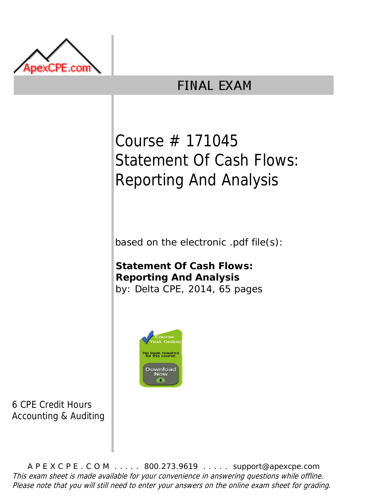

## **FINAL EXAM**

## Course # 171045 Statement Of Cash Flows: Reporting And Analysis

based on the electronic .pdf file(s):

**Statement Of Cash Flows: Reporting And Analysis** by: Delta CPE, 2014, 65 pages



6 CPE Credit Hours Accounting & Auditing

A P E X C P E . C O M . . . . . 800.273.9619 . . . . . support@apexcpe.com This exam sheet is made available for your convenience in answering questions while offline. Please note that you will still need to enter your answers on the online exam sheet for grading.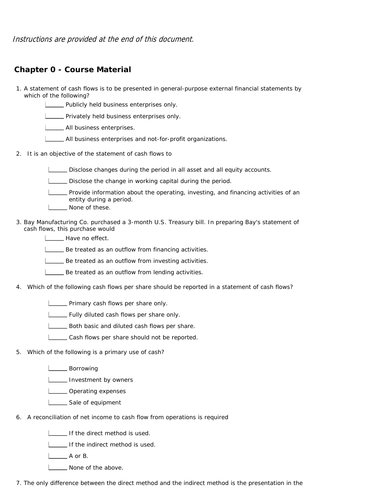Instructions are provided at the end of this document.

## **Chapter 0 - Course Material**

- 1. A statement of cash flows is to be presented in general-purpose external financial statements by which of the following?
	- **LETT** Publicly held business enterprises only.
	- **LETT** Privately held business enterprises only.
	- **LECCC** All business enterprises.
	- All business enterprises and not-for-profit organizations.
- 2. It is an objective of the statement of cash flows to

Disclose changes during the period in all asset and all equity accounts.

- Disclose the change in working capital during the period.
- Provide information about the operating, investing, and financing activities of an entity during a period.
- **L** None of these.
- 3. Bay Manufacturing Co. purchased a 3-month U.S. Treasury bill. In preparing Bay's statement of cash flows, this purchase would
	- **Have no effect.**
	- Be treated as an outflow from financing activities.
	- Be treated as an outflow from investing activities.
	- Be treated as an outflow from lending activities.
- 4. Which of the following cash flows per share should be reported in a statement of cash flows?
	- **LETT** Primary cash flows per share only.
	- **LETT** Fully diluted cash flows per share only.
	- **L\_\_\_ Both basic and diluted cash flows per share.**
	- Cash flows per share should not be reported.
- 5. Which of the following is a primary use of cash?
	- L**EXEC** Borrowing
	- **Investment by owners**
	- L**L**Operating expenses
	- Sale of equipment
- 6. A reconciliation of net income to cash flow from operations is required
	- I If the direct method is used.
	- If the indirect method is used.
	- A or B.
	- L\_\_\_\_\_ None of the above.
- 7. The only difference between the direct method and the indirect method is the presentation in the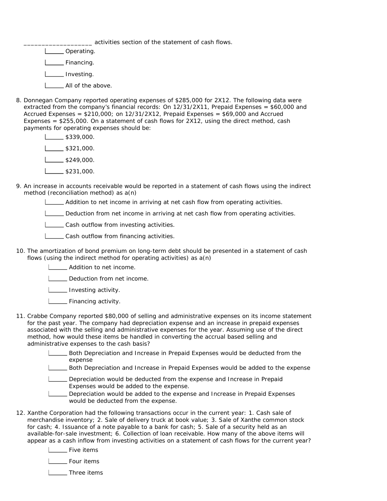activities section of the statement of cash flows.

- L\_\_\_\_\_ Operating. Financing. **Investing.**
- **All of the above.**
- 8. Donnegan Company reported operating expenses of \$285,000 for 2X12. The following data were extracted from the company's financial records: On 12/31/2X11, Prepaid Expenses = \$60,000 and Accrued Expenses = \$210,000; on 12/31/2X12, Prepaid Expenses = \$69,000 and Accrued Expenses = \$255,000. On a statement of cash flows for 2X12, using the direct method, cash payments for operating expenses should be:
	- \$339,000.  $\frac{1}{1}$  \$321,000.  $L_{249,000}$ .  $\frac{1}{2}$ \$231,000.
- 9. An increase in accounts receivable would be reported in a statement of cash flows using the indirect method (reconciliation method) as a(n)
	- Addition to net income in arriving at net cash flow from operating activities.
	- Deduction from net income in arriving at net cash flow from operating activities.

**LECASH outflow from investing activities.** 

- **LETT** Cash outflow from financing activities.
- 10. The amortization of bond premium on long-term debt should be presented in a statement of cash flows (using the indirect method for operating activities) as a(n)
	- Addition to net income.
	- Deduction from net income.
	- **Investing activity.**
	- **LETTE** Financing activity.
- 11. Crabbe Company reported \$80,000 of selling and administrative expenses on its income statement for the past year. The company had depreciation expense and an increase in prepaid expenses associated with the selling and administrative expenses for the year. Assuming use of the direct method, how would these items be handled in converting the accrual based selling and administrative expenses to the cash basis?
	- Both Depreciation and Increase in Prepaid Expenses would be deducted from the expense
	- Both Depreciation and Increase in Prepaid Expenses would be added to the expense
	- Depreciation would be deducted from the expense and Increase in Prepaid Expenses would be added to the expense.
	- Depreciation would be added to the expense and Increase in Prepaid Expenses would be deducted from the expense.
- 12. Xanthe Corporation had the following transactions occur in the current year: 1. Cash sale of merchandise inventory; 2. Sale of delivery truck at book value; 3. Sale of Xanthe common stock for cash; 4. Issuance of a note payable to a bank for cash; 5. Sale of a security held as an available-for-sale investment; 6. Collection of loan receivable. How many of the above items will appear as a cash inflow from investing activities on a statement of cash flows for the current year?
	- **L** Five items

Four items

| \_\_ Three items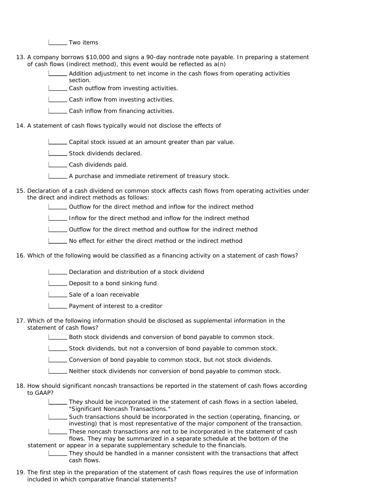L<sub>ta</sub> Two items

13. A company borrows \$10,000 and signs a 90-day nontrade note payable. In preparing a statement of cash flows (indirect method), this event would be reflected as a(n)

> Addition adjustment to net income in the cash flows from operating activities section.

**Cash outflow from investing activities.** 

**LETT** Cash inflow from investing activities.

- **LETT** Cash inflow from financing activities.
- 14. A statement of cash flows typically would not disclose the effects of
	- Capital stock issued at an amount greater than par value.

Stock dividends declared.

- **Letter** Cash dividends paid.
- **LETT** A purchase and immediate retirement of treasury stock.
- 15. Declaration of a cash dividend on common stock affects cash flows from operating activities under the direct and indirect methods as follows:
	- Outflow for the direct method and inflow for the indirect method
	- Inflow for the direct method and inflow for the indirect method
	- Outflow for the direct method and outflow for the indirect method
	- No effect for either the direct method or the indirect method
- 16. Which of the following would be classified as a financing activity on a statement of cash flows?
	- Declaration and distribution of a stock dividend
	- **LETT** Deposit to a bond sinking fund
	- Sale of a loan receivable
	- **LETT** Payment of interest to a creditor
- 17. Which of the following information should be disclosed as supplemental information in the statement of cash flows?
	- Both stock dividends and conversion of bond payable to common stock.
	- Stock dividends, but not a conversion of bond payable to common stock.
	- Conversion of bond payable to common stock, but not stock dividends.
	- Neither stock dividends nor conversion of bond payable to common stock.
- 18. How should significant noncash transactions be reported in the statement of cash flows according to GAAP?
	- They should be incorporated in the statement of cash flows in a section labeled, "Significant Noncash Transactions."
	- Such transactions should be incorporated in the section (operating, financing, or investing) that is most representative of the major component of the transaction.
	- These noncash transactions are not to be incorporated in the statement of cash flows. They may be summarized in a separate schedule at the bottom of the
	- statement or appear in a separate supplementary schedule to the financials.
		- They should be handled in a manner consistent with the transactions that affect cash flows.
- 19. The first step in the preparation of the statement of cash flows requires the use of information included in which comparative financial statements?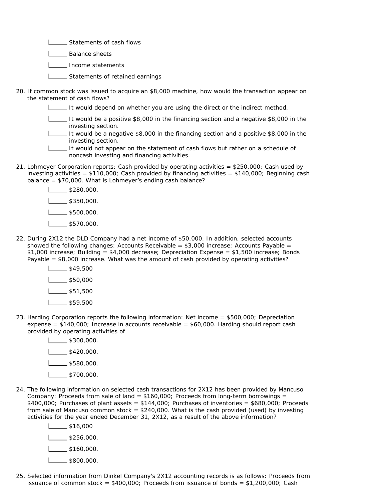**LETT** Statements of cash flows

1 \_\_\_\_ Balance sheets

I \_\_\_\_\_ Income statements

**LETTE** Statements of retained earnings

20. If common stock was issued to acquire an \$8,000 machine, how would the transaction appear on the statement of cash flows?

It would depend on whether you are using the direct or the indirect method.

It would be a positive \$8,000 in the financing section and a negative \$8,000 in the investing section.

It would be a negative \$8,000 in the financing section and a positive \$8,000 in the investing section.

It would not appear on the statement of cash flows but rather on a schedule of noncash investing and financing activities.

21. Lohmeyer Corporation reports: Cash provided by operating activities = \$250,000; Cash used by investing activities =  $$110,000$ ; Cash provided by financing activities =  $$140,000$ ; Beginning cash balance = \$70,000. What is Lohmeyer's ending cash balance?

> $\frac{1}{280,000}$  $L_{\frac{1}{2}}$ \$350,000.  $L_{\frac{500}{100}}$ \$500,000. 1 \$570,000.

- 22. During 2X12 the DLD Company had a net income of \$50,000. In addition, selected accounts showed the following changes: Accounts Receivable =  $$3,000$  increase: Accounts Payable = \$1,000 increase; Building = \$4,000 decrease; Depreciation Expense = \$1,500 increase; Bonds Payable  $= $8,000$  increase. What was the amount of cash provided by operating activities?
	- $\frac{1}{1}$ \$49,500

 $\frac{1}{50,000}$ 

- $\sqrt{551,500}$
- $\sqrt{559,500}$
- 23. Harding Corporation reports the following information: Net income = \$500,000; Depreciation expense =  $$140,000$ ; Increase in accounts receivable =  $$60,000$ . Harding should report cash provided by operating activities of
	- $\frac{1}{300,000}$ .  $\frac{1}{1}$ \$420,000.  $\sqrt{\frac{1}{100}}$ \$580,000.  $L_{2}$ \$700,000.
- 24. The following information on selected cash transactions for 2X12 has been provided by Mancuso Company: Proceeds from sale of land =  $$160,000$ ; Proceeds from long-term borrowings =  $$400,000$ ; Purchases of plant assets =  $$144,000$ ; Purchases of inventories =  $$680,000$ ; Proceeds from sale of Mancuso common stock  $= $240,000$ . What is the cash provided (used) by investing activities for the year ended December 31, 2X12, as a result of the above information?
	- $\frac{1}{1}$ \$16,000  $\frac{1}{1}$ \$256,000.  $\frac{1}{1}$ \$160,000.  $L_{\frac{1}{2}}$ \$800,000.
- 25. Selected information from Dinkel Company's 2X12 accounting records is as follows: Proceeds from issuance of common stock =  $$400,000$ ; Proceeds from issuance of bonds =  $$1,200,000$ ; Cash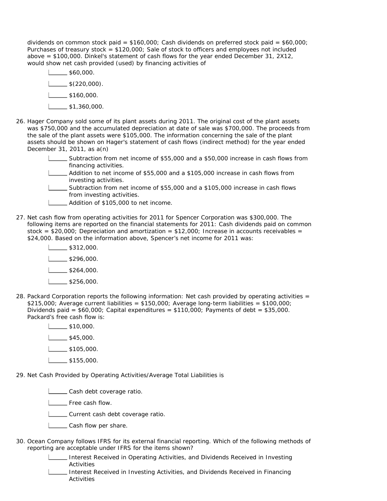dividends on common stock paid =  $$160,000$ ; Cash dividends on preferred stock paid =  $$60,000$ ; Purchases of treasury stock  $= $120,000$ ; Sale of stock to officers and employees not included above = \$100,000. Dinkel's statement of cash flows for the year ended December 31, 2X12, would show net cash provided (used) by financing activities of

- $\frac{1}{1}$ \$60,000.  $\Box$  \$(220,000).  $\frac{1}{1}$  \$160,000.  $1 \quad \_\_\$ \$1,360,000.
- 26. Hager Company sold some of its plant assets during 2011. The original cost of the plant assets was \$750,000 and the accumulated depreciation at date of sale was \$700,000. The proceeds from the sale of the plant assets were \$105,000. The information concerning the sale of the plant assets should be shown on Hager's statement of cash flows (indirect method) for the year ended December 31, 2011, as a(n)
	- Subtraction from net income of \$55,000 and a \$50,000 increase in cash flows from financing activities.
	- Addition to net income of \$55,000 and a \$105,000 increase in cash flows from investing activities.
	- Subtraction from net income of \$55,000 and a \$105,000 increase in cash flows from investing activities.
	- **Letter** Addition of \$105,000 to net income.
- 27. Net cash flow from operating activities for 2011 for Spencer Corporation was \$300,000. The following items are reported on the financial statements for 2011: Cash dividends paid on common stock =  $$20,000$ ; Depreciation and amortization =  $$12,000$ ; Increase in accounts receivables = \$24,000. Based on the information above, Spencer's net income for 2011 was:
	- $\frac{\$312,000}{.}$  $\frac{1}{2}$  \$296,000.
	- $\frac{1}{3264,000}$ .
	- $\frac{1}{2}$ \$256,000.
- 28. Packard Corporation reports the following information: Net cash provided by operating activities =  $$215,000$ ; Average current liabilities =  $$150,000$ ; Average long-term liabilities =  $$100,000$ ; Dividends paid =  $$60,000$ ; Capital expenditures =  $$110,000$ ; Payments of debt =  $$35,000$ . Packard's free cash flow is:
	- $\frac{1}{1}$ \$10,000.  $\frac{1}{1}$ \$45,000.  $\frac{1}{1}$ \$105,000.  $\frac{1}{1}$ \$155,000.
- 29. Net Cash Provided by Operating Activities/Average Total Liabilities is
	- **LECASH** debt coverage ratio.
	- **L** Free cash flow.
	- L\_\_\_\_ Current cash debt coverage ratio.
	- **LETT** Cash flow per share.
- 30. Ocean Company follows IFRS for its external financial reporting. Which of the following methods of reporting are acceptable under IFRS for the items shown?
	- Interest Received in Operating Activities, and Dividends Received in Investing Activities
	- Interest Received in Investing Activities, and Dividends Received in Financing Activities